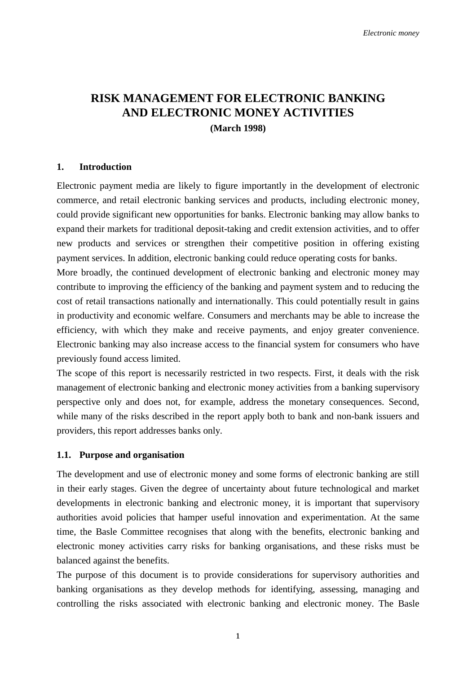## **RISK MANAGEMENT FOR ELECTRONIC BANKING AND ELECTRONIC MONEY ACTIVITIES (March 1998)**

## **1. Introduction**

Electronic payment media are likely to figure importantly in the development of electronic commerce, and retail electronic banking services and products, including electronic money, could provide significant new opportunities for banks. Electronic banking may allow banks to expand their markets for traditional deposit-taking and credit extension activities, and to offer new products and services or strengthen their competitive position in offering existing payment services. In addition, electronic banking could reduce operating costs for banks.

More broadly, the continued development of electronic banking and electronic money may contribute to improving the efficiency of the banking and payment system and to reducing the cost of retail transactions nationally and internationally. This could potentially result in gains in productivity and economic welfare. Consumers and merchants may be able to increase the efficiency, with which they make and receive payments, and enjoy greater convenience. Electronic banking may also increase access to the financial system for consumers who have previously found access limited.

The scope of this report is necessarily restricted in two respects. First, it deals with the risk management of electronic banking and electronic money activities from a banking supervisory perspective only and does not, for example, address the monetary consequences. Second, while many of the risks described in the report apply both to bank and non-bank issuers and providers, this report addresses banks only.

#### **1.1. Purpose and organisation**

The development and use of electronic money and some forms of electronic banking are still in their early stages. Given the degree of uncertainty about future technological and market developments in electronic banking and electronic money, it is important that supervisory authorities avoid policies that hamper useful innovation and experimentation. At the same time, the Basle Committee recognises that along with the benefits, electronic banking and electronic money activities carry risks for banking organisations, and these risks must be balanced against the benefits.

The purpose of this document is to provide considerations for supervisory authorities and banking organisations as they develop methods for identifying, assessing, managing and controlling the risks associated with electronic banking and electronic money. The Basle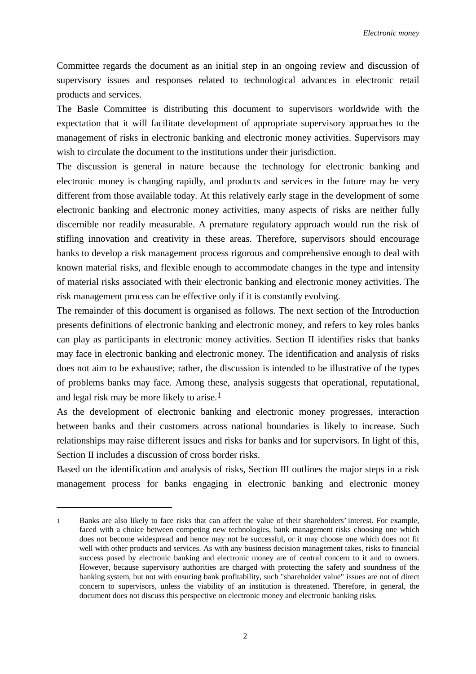Committee regards the document as an initial step in an ongoing review and discussion of supervisory issues and responses related to technological advances in electronic retail products and services.

The Basle Committee is distributing this document to supervisors worldwide with the expectation that it will facilitate development of appropriate supervisory approaches to the management of risks in electronic banking and electronic money activities. Supervisors may wish to circulate the document to the institutions under their jurisdiction.

The discussion is general in nature because the technology for electronic banking and electronic money is changing rapidly, and products and services in the future may be very different from those available today. At this relatively early stage in the development of some electronic banking and electronic money activities, many aspects of risks are neither fully discernible nor readily measurable. A premature regulatory approach would run the risk of stifling innovation and creativity in these areas. Therefore, supervisors should encourage banks to develop a risk management process rigorous and comprehensive enough to deal with known material risks, and flexible enough to accommodate changes in the type and intensity of material risks associated with their electronic banking and electronic money activities. The risk management process can be effective only if it is constantly evolving.

The remainder of this document is organised as follows. The next section of the Introduction presents definitions of electronic banking and electronic money, and refers to key roles banks can play as participants in electronic money activities. Section II identifies risks that banks may face in electronic banking and electronic money. The identification and analysis of risks does not aim to be exhaustive; rather, the discussion is intended to be illustrative of the types of problems banks may face. Among these, analysis suggests that operational, reputational, and legal risk may be more likely to arise.1

As the development of electronic banking and electronic money progresses, interaction between banks and their customers across national boundaries is likely to increase. Such relationships may raise different issues and risks for banks and for supervisors. In light of this, Section II includes a discussion of cross border risks.

Based on the identification and analysis of risks, Section III outlines the major steps in a risk management process for banks engaging in electronic banking and electronic money

 $\overline{a}$ 

<sup>1</sup> Banks are also likely to face risks that can affect the value of their shareholders' interest. For example, faced with a choice between competing new technologies, bank management risks choosing one which does not become widespread and hence may not be successful, or it may choose one which does not fit well with other products and services. As with any business decision management takes, risks to financial success posed by electronic banking and electronic money are of central concern to it and to owners. However, because supervisory authorities are charged with protecting the safety and soundness of the banking system, but not with ensuring bank profitability, such "shareholder value" issues are not of direct concern to supervisors, unless the viability of an institution is threatened. Therefore, in general, the document does not discuss this perspective on electronic money and electronic banking risks.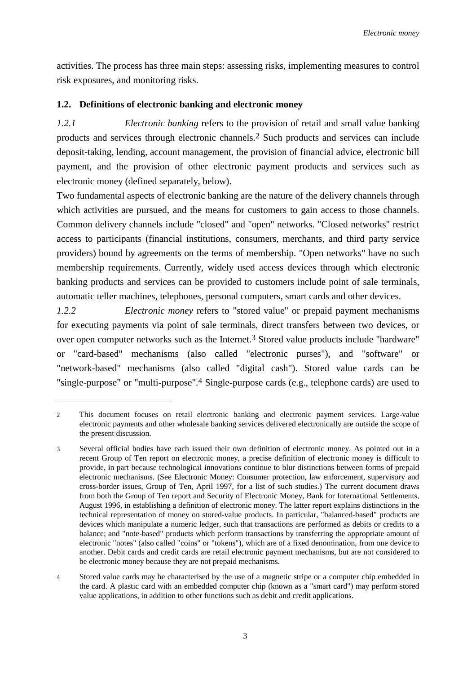activities. The process has three main steps: assessing risks, implementing measures to control risk exposures, and monitoring risks.

## **1.2. Definitions of electronic banking and electronic money**

 $\overline{a}$ 

*1.2.1 Electronic banking* refers to the provision of retail and small value banking products and services through electronic channels.2 Such products and services can include deposit-taking, lending, account management, the provision of financial advice, electronic bill payment, and the provision of other electronic payment products and services such as electronic money (defined separately, below).

Two fundamental aspects of electronic banking are the nature of the delivery channels through which activities are pursued, and the means for customers to gain access to those channels. Common delivery channels include "closed" and "open" networks. "Closed networks" restrict access to participants (financial institutions, consumers, merchants, and third party service providers) bound by agreements on the terms of membership. "Open networks" have no such membership requirements. Currently, widely used access devices through which electronic banking products and services can be provided to customers include point of sale terminals, automatic teller machines, telephones, personal computers, smart cards and other devices.

*1.2.2 Electronic money* refers to "stored value" or prepaid payment mechanisms for executing payments via point of sale terminals, direct transfers between two devices, or over open computer networks such as the Internet.3 Stored value products include "hardware" or "card-based" mechanisms (also called "electronic purses"), and "software" or "network-based" mechanisms (also called "digital cash"). Stored value cards can be "single-purpose" or "multi-purpose".4 Single-purpose cards (e.g., telephone cards) are used to

<sup>2</sup> This document focuses on retail electronic banking and electronic payment services. Large-value electronic payments and other wholesale banking services delivered electronically are outside the scope of the present discussion.

<sup>3</sup> Several official bodies have each issued their own definition of electronic money. As pointed out in a recent Group of Ten report on electronic money, a precise definition of electronic money is difficult to provide, in part because technological innovations continue to blur distinctions between forms of prepaid electronic mechanisms. (See Electronic Money: Consumer protection, law enforcement, supervisory and cross-border issues, Group of Ten, April 1997, for a list of such studies.) The current document draws from both the Group of Ten report and Security of Electronic Money, Bank for International Settlements, August 1996, in establishing a definition of electronic money. The latter report explains distinctions in the technical representation of money on stored-value products. In particular, "balanced-based" products are devices which manipulate a numeric ledger, such that transactions are performed as debits or credits to a balance; and "note-based" products which perform transactions by transferring the appropriate amount of electronic "notes" (also called "coins" or "tokens"), which are of a fixed denomination, from one device to another. Debit cards and credit cards are retail electronic payment mechanisms, but are not considered to be electronic money because they are not prepaid mechanisms.

<sup>4</sup> Stored value cards may be characterised by the use of a magnetic stripe or a computer chip embedded in the card. A plastic card with an embedded computer chip (known as a "smart card") may perform stored value applications, in addition to other functions such as debit and credit applications.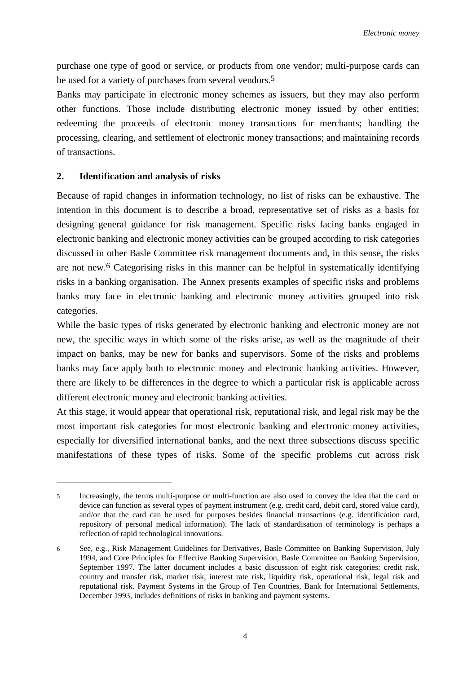purchase one type of good or service, or products from one vendor; multi-purpose cards can be used for a variety of purchases from several vendors.<sup>5</sup>

Banks may participate in electronic money schemes as issuers, but they may also perform other functions. Those include distributing electronic money issued by other entities; redeeming the proceeds of electronic money transactions for merchants; handling the processing, clearing, and settlement of electronic money transactions; and maintaining records of transactions.

## **2. Identification and analysis of risks**

 $\overline{a}$ 

Because of rapid changes in information technology, no list of risks can be exhaustive. The intention in this document is to describe a broad, representative set of risks as a basis for designing general guidance for risk management. Specific risks facing banks engaged in electronic banking and electronic money activities can be grouped according to risk categories discussed in other Basle Committee risk management documents and, in this sense, the risks are not new.6 Categorising risks in this manner can be helpful in systematically identifying risks in a banking organisation. The Annex presents examples of specific risks and problems banks may face in electronic banking and electronic money activities grouped into risk categories.

While the basic types of risks generated by electronic banking and electronic money are not new, the specific ways in which some of the risks arise, as well as the magnitude of their impact on banks, may be new for banks and supervisors. Some of the risks and problems banks may face apply both to electronic money and electronic banking activities. However, there are likely to be differences in the degree to which a particular risk is applicable across different electronic money and electronic banking activities.

At this stage, it would appear that operational risk, reputational risk, and legal risk may be the most important risk categories for most electronic banking and electronic money activities, especially for diversified international banks, and the next three subsections discuss specific manifestations of these types of risks. Some of the specific problems cut across risk

<sup>5</sup> Increasingly, the terms multi-purpose or multi-function are also used to convey the idea that the card or device can function as several types of payment instrument (e.g. credit card, debit card, stored value card), and/or that the card can be used for purposes besides financial transactions (e.g. identification card, repository of personal medical information). The lack of standardisation of terminology is perhaps a reflection of rapid technological innovations.

<sup>6</sup> See, e.g., Risk Management Guidelines for Derivatives, Basle Committee on Banking Supervision, July 1994, and Core Principles for Effective Banking Supervision, Basle Committee on Banking Supervision, September 1997. The latter document includes a basic discussion of eight risk categories: credit risk, country and transfer risk, market risk, interest rate risk, liquidity risk, operational risk, legal risk and reputational risk. Payment Systems in the Group of Ten Countries, Bank for International Settlements, December 1993, includes definitions of risks in banking and payment systems.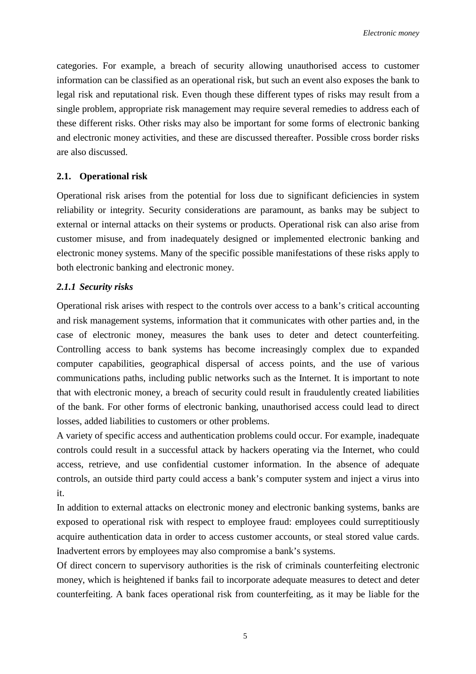categories. For example, a breach of security allowing unauthorised access to customer information can be classified as an operational risk, but such an event also exposes the bank to legal risk and reputational risk. Even though these different types of risks may result from a single problem, appropriate risk management may require several remedies to address each of these different risks. Other risks may also be important for some forms of electronic banking and electronic money activities, and these are discussed thereafter. Possible cross border risks are also discussed.

## **2.1. Operational risk**

Operational risk arises from the potential for loss due to significant deficiencies in system reliability or integrity. Security considerations are paramount, as banks may be subject to external or internal attacks on their systems or products. Operational risk can also arise from customer misuse, and from inadequately designed or implemented electronic banking and electronic money systems. Many of the specific possible manifestations of these risks apply to both electronic banking and electronic money.

## *2.1.1 Security risks*

Operational risk arises with respect to the controls over access to a bank's critical accounting and risk management systems, information that it communicates with other parties and, in the case of electronic money, measures the bank uses to deter and detect counterfeiting. Controlling access to bank systems has become increasingly complex due to expanded computer capabilities, geographical dispersal of access points, and the use of various communications paths, including public networks such as the Internet. It is important to note that with electronic money, a breach of security could result in fraudulently created liabilities of the bank. For other forms of electronic banking, unauthorised access could lead to direct losses, added liabilities to customers or other problems.

A variety of specific access and authentication problems could occur. For example, inadequate controls could result in a successful attack by hackers operating via the Internet, who could access, retrieve, and use confidential customer information. In the absence of adequate controls, an outside third party could access a bank's computer system and inject a virus into it.

In addition to external attacks on electronic money and electronic banking systems, banks are exposed to operational risk with respect to employee fraud: employees could surreptitiously acquire authentication data in order to access customer accounts, or steal stored value cards. Inadvertent errors by employees may also compromise a bank's systems.

Of direct concern to supervisory authorities is the risk of criminals counterfeiting electronic money, which is heightened if banks fail to incorporate adequate measures to detect and deter counterfeiting. A bank faces operational risk from counterfeiting, as it may be liable for the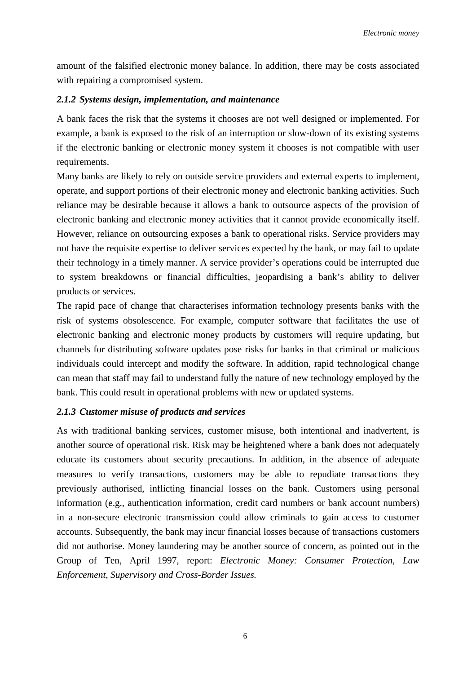amount of the falsified electronic money balance. In addition, there may be costs associated with repairing a compromised system.

## *2.1.2 Systems design, implementation, and maintenance*

A bank faces the risk that the systems it chooses are not well designed or implemented. For example, a bank is exposed to the risk of an interruption or slow-down of its existing systems if the electronic banking or electronic money system it chooses is not compatible with user requirements.

Many banks are likely to rely on outside service providers and external experts to implement, operate, and support portions of their electronic money and electronic banking activities. Such reliance may be desirable because it allows a bank to outsource aspects of the provision of electronic banking and electronic money activities that it cannot provide economically itself. However, reliance on outsourcing exposes a bank to operational risks. Service providers may not have the requisite expertise to deliver services expected by the bank, or may fail to update their technology in a timely manner. A service provider's operations could be interrupted due to system breakdowns or financial difficulties, jeopardising a bank's ability to deliver products or services.

The rapid pace of change that characterises information technology presents banks with the risk of systems obsolescence. For example, computer software that facilitates the use of electronic banking and electronic money products by customers will require updating, but channels for distributing software updates pose risks for banks in that criminal or malicious individuals could intercept and modify the software. In addition, rapid technological change can mean that staff may fail to understand fully the nature of new technology employed by the bank. This could result in operational problems with new or updated systems.

## *2.1.3 Customer misuse of products and services*

As with traditional banking services, customer misuse, both intentional and inadvertent, is another source of operational risk. Risk may be heightened where a bank does not adequately educate its customers about security precautions. In addition, in the absence of adequate measures to verify transactions, customers may be able to repudiate transactions they previously authorised, inflicting financial losses on the bank. Customers using personal information (e.g., authentication information, credit card numbers or bank account numbers) in a non-secure electronic transmission could allow criminals to gain access to customer accounts. Subsequently, the bank may incur financial losses because of transactions customers did not authorise. Money laundering may be another source of concern, as pointed out in the Group of Ten, April 1997, report: *Electronic Money: Consumer Protection, Law Enforcement, Supervisory and Cross-Border Issues.*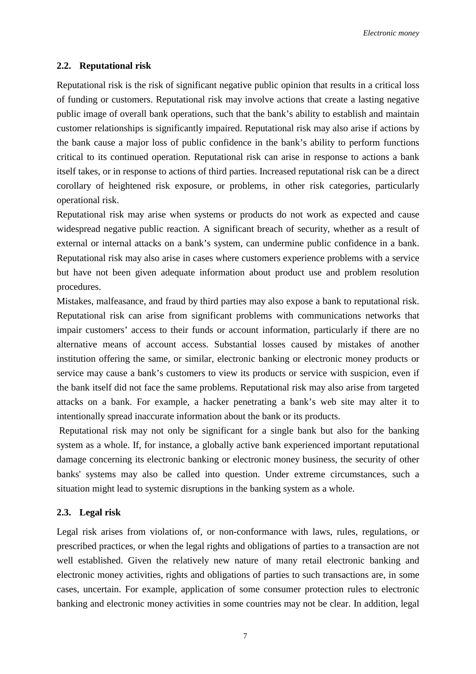## **2.2. Reputational risk**

Reputational risk is the risk of significant negative public opinion that results in a critical loss of funding or customers. Reputational risk may involve actions that create a lasting negative public image of overall bank operations, such that the bank's ability to establish and maintain customer relationships is significantly impaired. Reputational risk may also arise if actions by the bank cause a major loss of public confidence in the bank's ability to perform functions critical to its continued operation. Reputational risk can arise in response to actions a bank itself takes, or in response to actions of third parties. Increased reputational risk can be a direct corollary of heightened risk exposure, or problems, in other risk categories, particularly operational risk.

Reputational risk may arise when systems or products do not work as expected and cause widespread negative public reaction. A significant breach of security, whether as a result of external or internal attacks on a bank's system, can undermine public confidence in a bank. Reputational risk may also arise in cases where customers experience problems with a service but have not been given adequate information about product use and problem resolution procedures.

Mistakes, malfeasance, and fraud by third parties may also expose a bank to reputational risk. Reputational risk can arise from significant problems with communications networks that impair customers' access to their funds or account information, particularly if there are no alternative means of account access. Substantial losses caused by mistakes of another institution offering the same, or similar, electronic banking or electronic money products or service may cause a bank's customers to view its products or service with suspicion, even if the bank itself did not face the same problems. Reputational risk may also arise from targeted attacks on a bank. For example, a hacker penetrating a bank's web site may alter it to intentionally spread inaccurate information about the bank or its products.

 Reputational risk may not only be significant for a single bank but also for the banking system as a whole. If, for instance, a globally active bank experienced important reputational damage concerning its electronic banking or electronic money business, the security of other banks' systems may also be called into question. Under extreme circumstances, such a situation might lead to systemic disruptions in the banking system as a whole.

#### **2.3. Legal risk**

Legal risk arises from violations of, or non-conformance with laws, rules, regulations, or prescribed practices, or when the legal rights and obligations of parties to a transaction are not well established. Given the relatively new nature of many retail electronic banking and electronic money activities, rights and obligations of parties to such transactions are, in some cases, uncertain. For example, application of some consumer protection rules to electronic banking and electronic money activities in some countries may not be clear. In addition, legal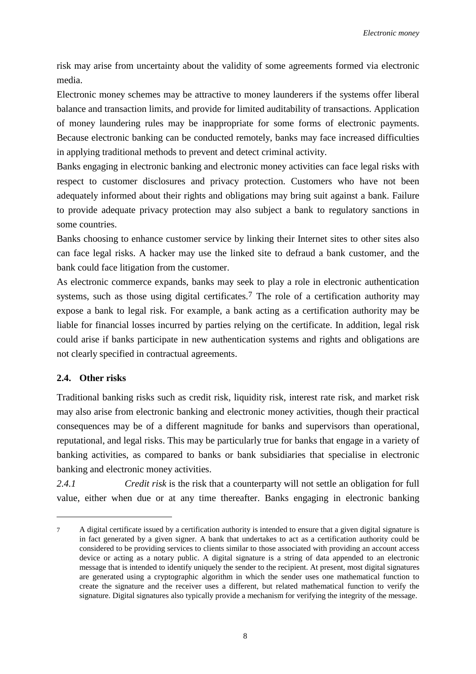risk may arise from uncertainty about the validity of some agreements formed via electronic media.

Electronic money schemes may be attractive to money launderers if the systems offer liberal balance and transaction limits, and provide for limited auditability of transactions. Application of money laundering rules may be inappropriate for some forms of electronic payments. Because electronic banking can be conducted remotely, banks may face increased difficulties in applying traditional methods to prevent and detect criminal activity.

Banks engaging in electronic banking and electronic money activities can face legal risks with respect to customer disclosures and privacy protection. Customers who have not been adequately informed about their rights and obligations may bring suit against a bank. Failure to provide adequate privacy protection may also subject a bank to regulatory sanctions in some countries.

Banks choosing to enhance customer service by linking their Internet sites to other sites also can face legal risks. A hacker may use the linked site to defraud a bank customer, and the bank could face litigation from the customer.

As electronic commerce expands, banks may seek to play a role in electronic authentication systems, such as those using digital certificates.<sup>7</sup> The role of a certification authority may expose a bank to legal risk. For example, a bank acting as a certification authority may be liable for financial losses incurred by parties relying on the certificate. In addition, legal risk could arise if banks participate in new authentication systems and rights and obligations are not clearly specified in contractual agreements.

## **2.4. Other risks**

 $\overline{a}$ 

Traditional banking risks such as credit risk, liquidity risk, interest rate risk, and market risk may also arise from electronic banking and electronic money activities, though their practical consequences may be of a different magnitude for banks and supervisors than operational, reputational, and legal risks. This may be particularly true for banks that engage in a variety of banking activities, as compared to banks or bank subsidiaries that specialise in electronic banking and electronic money activities.

*2.4.1 Credit risk* is the risk that a counterparty will not settle an obligation for full value, either when due or at any time thereafter. Banks engaging in electronic banking

<sup>7</sup> A digital certificate issued by a certification authority is intended to ensure that a given digital signature is in fact generated by a given signer. A bank that undertakes to act as a certification authority could be considered to be providing services to clients similar to those associated with providing an account access device or acting as a notary public. A digital signature is a string of data appended to an electronic message that is intended to identify uniquely the sender to the recipient. At present, most digital signatures are generated using a cryptographic algorithm in which the sender uses one mathematical function to create the signature and the receiver uses a different, but related mathematical function to verify the signature. Digital signatures also typically provide a mechanism for verifying the integrity of the message.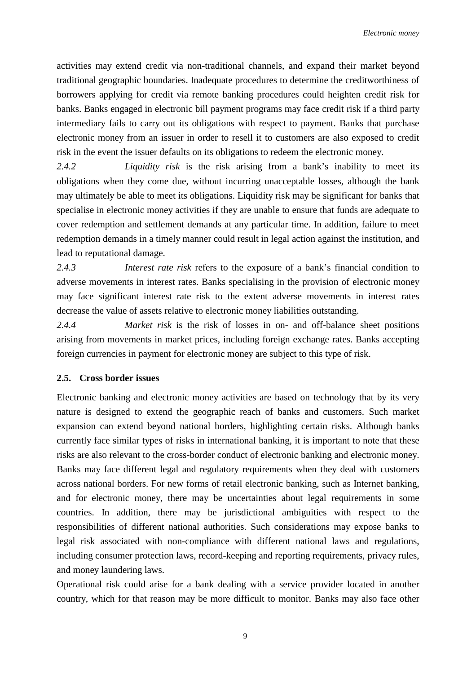activities may extend credit via non-traditional channels, and expand their market beyond traditional geographic boundaries. Inadequate procedures to determine the creditworthiness of borrowers applying for credit via remote banking procedures could heighten credit risk for banks. Banks engaged in electronic bill payment programs may face credit risk if a third party intermediary fails to carry out its obligations with respect to payment. Banks that purchase electronic money from an issuer in order to resell it to customers are also exposed to credit risk in the event the issuer defaults on its obligations to redeem the electronic money.

*2.4.2 Liquidity risk* is the risk arising from a bank's inability to meet its obligations when they come due, without incurring unacceptable losses, although the bank may ultimately be able to meet its obligations. Liquidity risk may be significant for banks that specialise in electronic money activities if they are unable to ensure that funds are adequate to cover redemption and settlement demands at any particular time. In addition, failure to meet redemption demands in a timely manner could result in legal action against the institution, and lead to reputational damage.

*2.4.3 Interest rate risk* refers to the exposure of a bank's financial condition to adverse movements in interest rates. Banks specialising in the provision of electronic money may face significant interest rate risk to the extent adverse movements in interest rates decrease the value of assets relative to electronic money liabilities outstanding.

*2.4.4 Market risk* is the risk of losses in on- and off-balance sheet positions arising from movements in market prices, including foreign exchange rates. Banks accepting foreign currencies in payment for electronic money are subject to this type of risk.

## **2.5. Cross border issues**

Electronic banking and electronic money activities are based on technology that by its very nature is designed to extend the geographic reach of banks and customers. Such market expansion can extend beyond national borders, highlighting certain risks. Although banks currently face similar types of risks in international banking, it is important to note that these risks are also relevant to the cross-border conduct of electronic banking and electronic money. Banks may face different legal and regulatory requirements when they deal with customers across national borders. For new forms of retail electronic banking, such as Internet banking, and for electronic money, there may be uncertainties about legal requirements in some countries. In addition, there may be jurisdictional ambiguities with respect to the responsibilities of different national authorities. Such considerations may expose banks to legal risk associated with non-compliance with different national laws and regulations, including consumer protection laws, record-keeping and reporting requirements, privacy rules, and money laundering laws.

Operational risk could arise for a bank dealing with a service provider located in another country, which for that reason may be more difficult to monitor. Banks may also face other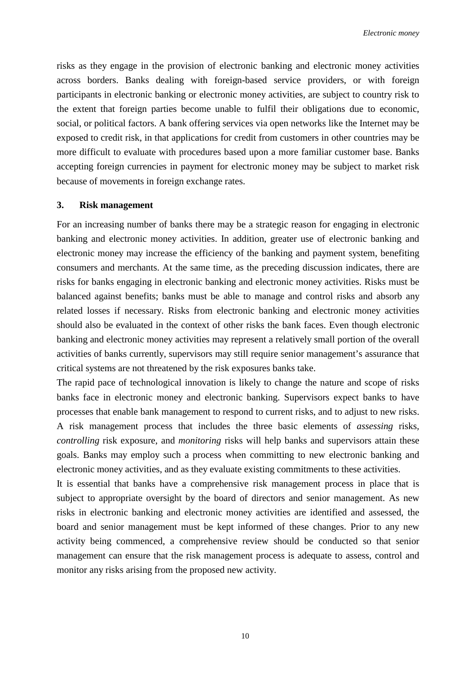risks as they engage in the provision of electronic banking and electronic money activities across borders. Banks dealing with foreign-based service providers, or with foreign participants in electronic banking or electronic money activities, are subject to country risk to the extent that foreign parties become unable to fulfil their obligations due to economic, social, or political factors. A bank offering services via open networks like the Internet may be exposed to credit risk, in that applications for credit from customers in other countries may be more difficult to evaluate with procedures based upon a more familiar customer base. Banks accepting foreign currencies in payment for electronic money may be subject to market risk because of movements in foreign exchange rates.

#### **3. Risk management**

For an increasing number of banks there may be a strategic reason for engaging in electronic banking and electronic money activities. In addition, greater use of electronic banking and electronic money may increase the efficiency of the banking and payment system, benefiting consumers and merchants. At the same time, as the preceding discussion indicates, there are risks for banks engaging in electronic banking and electronic money activities. Risks must be balanced against benefits; banks must be able to manage and control risks and absorb any related losses if necessary. Risks from electronic banking and electronic money activities should also be evaluated in the context of other risks the bank faces. Even though electronic banking and electronic money activities may represent a relatively small portion of the overall activities of banks currently, supervisors may still require senior management's assurance that critical systems are not threatened by the risk exposures banks take.

The rapid pace of technological innovation is likely to change the nature and scope of risks banks face in electronic money and electronic banking. Supervisors expect banks to have processes that enable bank management to respond to current risks, and to adjust to new risks. A risk management process that includes the three basic elements of *assessing* risks*, controlling* risk exposure, and *monitoring* risks will help banks and supervisors attain these goals. Banks may employ such a process when committing to new electronic banking and electronic money activities, and as they evaluate existing commitments to these activities.

It is essential that banks have a comprehensive risk management process in place that is subject to appropriate oversight by the board of directors and senior management. As new risks in electronic banking and electronic money activities are identified and assessed, the board and senior management must be kept informed of these changes. Prior to any new activity being commenced, a comprehensive review should be conducted so that senior management can ensure that the risk management process is adequate to assess, control and monitor any risks arising from the proposed new activity.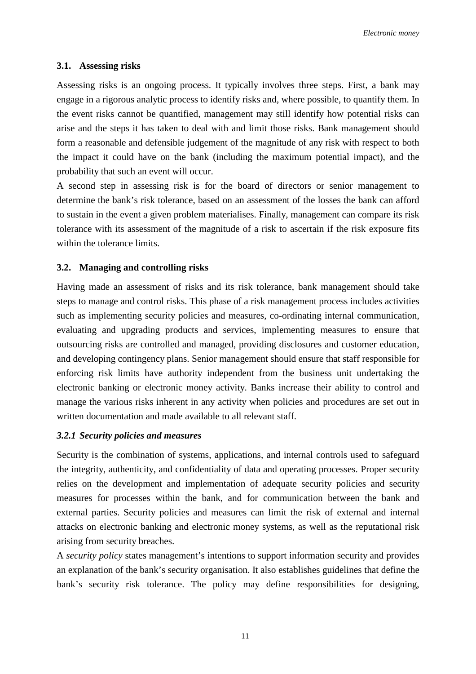#### **3.1. Assessing risks**

Assessing risks is an ongoing process. It typically involves three steps. First, a bank may engage in a rigorous analytic process to identify risks and, where possible, to quantify them. In the event risks cannot be quantified, management may still identify how potential risks can arise and the steps it has taken to deal with and limit those risks. Bank management should form a reasonable and defensible judgement of the magnitude of any risk with respect to both the impact it could have on the bank (including the maximum potential impact), and the probability that such an event will occur.

A second step in assessing risk is for the board of directors or senior management to determine the bank's risk tolerance, based on an assessment of the losses the bank can afford to sustain in the event a given problem materialises. Finally, management can compare its risk tolerance with its assessment of the magnitude of a risk to ascertain if the risk exposure fits within the tolerance limits.

#### **3.2. Managing and controlling risks**

Having made an assessment of risks and its risk tolerance, bank management should take steps to manage and control risks. This phase of a risk management process includes activities such as implementing security policies and measures, co-ordinating internal communication, evaluating and upgrading products and services, implementing measures to ensure that outsourcing risks are controlled and managed, providing disclosures and customer education, and developing contingency plans. Senior management should ensure that staff responsible for enforcing risk limits have authority independent from the business unit undertaking the electronic banking or electronic money activity. Banks increase their ability to control and manage the various risks inherent in any activity when policies and procedures are set out in written documentation and made available to all relevant staff.

#### *3.2.1 Security policies and measures*

Security is the combination of systems, applications, and internal controls used to safeguard the integrity, authenticity, and confidentiality of data and operating processes. Proper security relies on the development and implementation of adequate security policies and security measures for processes within the bank, and for communication between the bank and external parties. Security policies and measures can limit the risk of external and internal attacks on electronic banking and electronic money systems, as well as the reputational risk arising from security breaches.

A *security policy* states management's intentions to support information security and provides an explanation of the bank's security organisation. It also establishes guidelines that define the bank's security risk tolerance. The policy may define responsibilities for designing,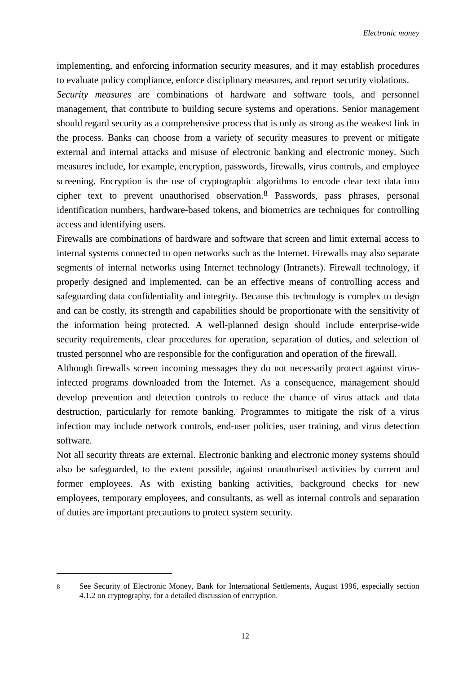implementing, and enforcing information security measures, and it may establish procedures to evaluate policy compliance, enforce disciplinary measures, and report security violations.

*Security measures* are combinations of hardware and software tools, and personnel management, that contribute to building secure systems and operations. Senior management should regard security as a comprehensive process that is only as strong as the weakest link in the process. Banks can choose from a variety of security measures to prevent or mitigate external and internal attacks and misuse of electronic banking and electronic money. Such measures include, for example, encryption, passwords, firewalls, virus controls, and employee screening. Encryption is the use of cryptographic algorithms to encode clear text data into cipher text to prevent unauthorised observation.8 Passwords, pass phrases, personal identification numbers, hardware-based tokens, and biometrics are techniques for controlling access and identifying users.

Firewalls are combinations of hardware and software that screen and limit external access to internal systems connected to open networks such as the Internet. Firewalls may also separate segments of internal networks using Internet technology (Intranets). Firewall technology, if properly designed and implemented, can be an effective means of controlling access and safeguarding data confidentiality and integrity. Because this technology is complex to design and can be costly, its strength and capabilities should be proportionate with the sensitivity of the information being protected. A well-planned design should include enterprise-wide security requirements, clear procedures for operation, separation of duties, and selection of trusted personnel who are responsible for the configuration and operation of the firewall.

Although firewalls screen incoming messages they do not necessarily protect against virusinfected programs downloaded from the Internet. As a consequence, management should develop prevention and detection controls to reduce the chance of virus attack and data destruction, particularly for remote banking. Programmes to mitigate the risk of a virus infection may include network controls, end-user policies, user training, and virus detection software.

Not all security threats are external. Electronic banking and electronic money systems should also be safeguarded, to the extent possible, against unauthorised activities by current and former employees. As with existing banking activities, background checks for new employees, temporary employees, and consultants, as well as internal controls and separation of duties are important precautions to protect system security.

 $\overline{a}$ 

<sup>8</sup> See Security of Electronic Money, Bank for International Settlements, August 1996, especially section 4.1.2 on cryptography, for a detailed discussion of encryption.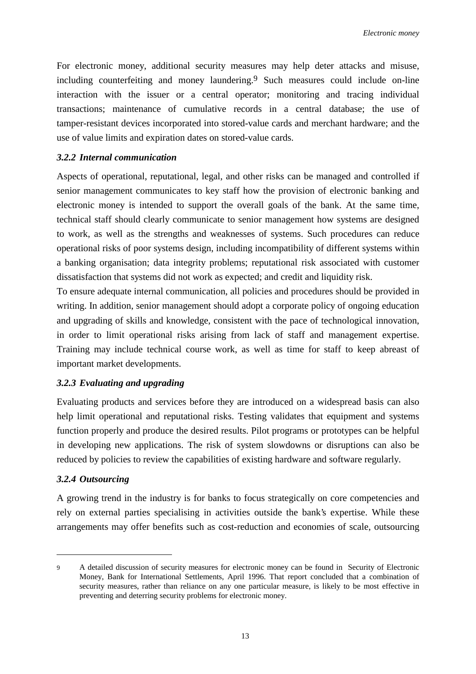For electronic money, additional security measures may help deter attacks and misuse, including counterfeiting and money laundering.9 Such measures could include on-line interaction with the issuer or a central operator; monitoring and tracing individual transactions; maintenance of cumulative records in a central database; the use of tamper-resistant devices incorporated into stored-value cards and merchant hardware; and the use of value limits and expiration dates on stored-value cards.

## *3.2.2 Internal communication*

Aspects of operational, reputational, legal, and other risks can be managed and controlled if senior management communicates to key staff how the provision of electronic banking and electronic money is intended to support the overall goals of the bank. At the same time, technical staff should clearly communicate to senior management how systems are designed to work, as well as the strengths and weaknesses of systems. Such procedures can reduce operational risks of poor systems design, including incompatibility of different systems within a banking organisation; data integrity problems; reputational risk associated with customer dissatisfaction that systems did not work as expected; and credit and liquidity risk.

To ensure adequate internal communication, all policies and procedures should be provided in writing. In addition, senior management should adopt a corporate policy of ongoing education and upgrading of skills and knowledge, consistent with the pace of technological innovation, in order to limit operational risks arising from lack of staff and management expertise. Training may include technical course work, as well as time for staff to keep abreast of important market developments.

## *3.2.3 Evaluating and upgrading*

Evaluating products and services before they are introduced on a widespread basis can also help limit operational and reputational risks. Testing validates that equipment and systems function properly and produce the desired results. Pilot programs or prototypes can be helpful in developing new applications. The risk of system slowdowns or disruptions can also be reduced by policies to review the capabilities of existing hardware and software regularly.

## *3.2.4 Outsourcing*

 $\overline{a}$ 

A growing trend in the industry is for banks to focus strategically on core competencies and rely on external parties specialising in activities outside the bank's expertise. While these arrangements may offer benefits such as cost-reduction and economies of scale, outsourcing

<sup>9</sup> A detailed discussion of security measures for electronic money can be found in Security of Electronic Money, Bank for International Settlements, April 1996. That report concluded that a combination of security measures, rather than reliance on any one particular measure, is likely to be most effective in preventing and deterring security problems for electronic money.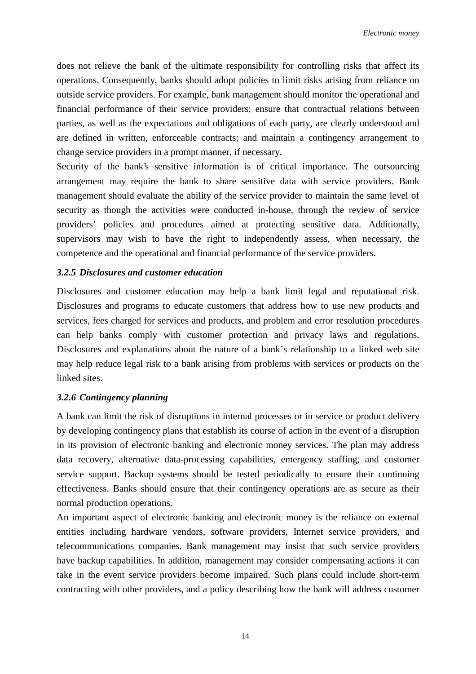does not relieve the bank of the ultimate responsibility for controlling risks that affect its operations. Consequently, banks should adopt policies to limit risks arising from reliance on outside service providers. For example, bank management should monitor the operational and financial performance of their service providers; ensure that contractual relations between parties, as well as the expectations and obligations of each party, are clearly understood and are defined in written, enforceable contracts; and maintain a contingency arrangement to change service providers in a prompt manner, if necessary.

Security of the bank's sensitive information is of critical importance. The outsourcing arrangement may require the bank to share sensitive data with service providers. Bank management should evaluate the ability of the service provider to maintain the same level of security as though the activities were conducted in-house, through the review of service providers' policies and procedures aimed at protecting sensitive data. Additionally, supervisors may wish to have the right to independently assess, when necessary, the competence and the operational and financial performance of the service providers.

## *3.2.5 Disclosures and customer education*

Disclosures and customer education may help a bank limit legal and reputational risk. Disclosures and programs to educate customers that address how to use new products and services, fees charged for services and products, and problem and error resolution procedures can help banks comply with customer protection and privacy laws and regulations. Disclosures and explanations about the nature of a bank's relationship to a linked web site may help reduce legal risk to a bank arising from problems with services or products on the linked sites.

#### *3.2.6 Contingency planning*

A bank can limit the risk of disruptions in internal processes or in service or product delivery by developing contingency plans that establish its course of action in the event of a disruption in its provision of electronic banking and electronic money services. The plan may address data recovery, alternative data-processing capabilities, emergency staffing, and customer service support. Backup systems should be tested periodically to ensure their continuing effectiveness. Banks should ensure that their contingency operations are as secure as their normal production operations.

An important aspect of electronic banking and electronic money is the reliance on external entities including hardware vendors, software providers, Internet service providers, and telecommunications companies. Bank management may insist that such service providers have backup capabilities. In addition, management may consider compensating actions it can take in the event service providers become impaired. Such plans could include short-term contracting with other providers, and a policy describing how the bank will address customer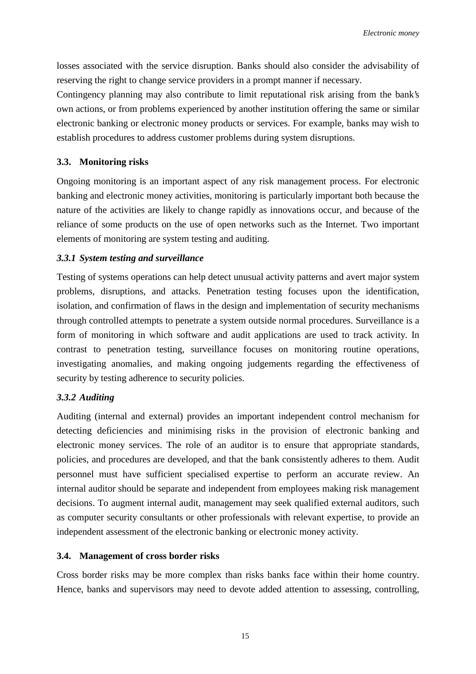losses associated with the service disruption. Banks should also consider the advisability of reserving the right to change service providers in a prompt manner if necessary.

Contingency planning may also contribute to limit reputational risk arising from the bank's own actions, or from problems experienced by another institution offering the same or similar electronic banking or electronic money products or services. For example, banks may wish to establish procedures to address customer problems during system disruptions.

## **3.3. Monitoring risks**

Ongoing monitoring is an important aspect of any risk management process. For electronic banking and electronic money activities, monitoring is particularly important both because the nature of the activities are likely to change rapidly as innovations occur, and because of the reliance of some products on the use of open networks such as the Internet. Two important elements of monitoring are system testing and auditing.

## *3.3.1 System testing and surveillance*

Testing of systems operations can help detect unusual activity patterns and avert major system problems, disruptions, and attacks. Penetration testing focuses upon the identification, isolation, and confirmation of flaws in the design and implementation of security mechanisms through controlled attempts to penetrate a system outside normal procedures. Surveillance is a form of monitoring in which software and audit applications are used to track activity. In contrast to penetration testing, surveillance focuses on monitoring routine operations, investigating anomalies, and making ongoing judgements regarding the effectiveness of security by testing adherence to security policies.

## *3.3.2 Auditing*

Auditing (internal and external) provides an important independent control mechanism for detecting deficiencies and minimising risks in the provision of electronic banking and electronic money services. The role of an auditor is to ensure that appropriate standards, policies, and procedures are developed, and that the bank consistently adheres to them. Audit personnel must have sufficient specialised expertise to perform an accurate review. An internal auditor should be separate and independent from employees making risk management decisions. To augment internal audit, management may seek qualified external auditors, such as computer security consultants or other professionals with relevant expertise, to provide an independent assessment of the electronic banking or electronic money activity.

## **3.4. Management of cross border risks**

Cross border risks may be more complex than risks banks face within their home country. Hence, banks and supervisors may need to devote added attention to assessing, controlling,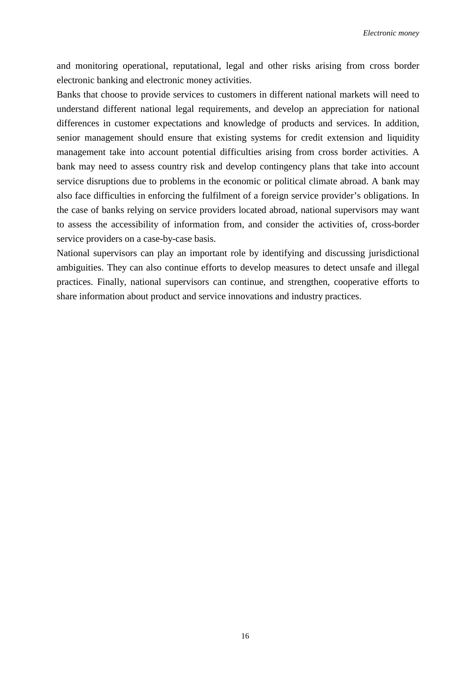and monitoring operational, reputational, legal and other risks arising from cross border electronic banking and electronic money activities.

Banks that choose to provide services to customers in different national markets will need to understand different national legal requirements, and develop an appreciation for national differences in customer expectations and knowledge of products and services. In addition, senior management should ensure that existing systems for credit extension and liquidity management take into account potential difficulties arising from cross border activities. A bank may need to assess country risk and develop contingency plans that take into account service disruptions due to problems in the economic or political climate abroad. A bank may also face difficulties in enforcing the fulfilment of a foreign service provider's obligations. In the case of banks relying on service providers located abroad, national supervisors may want to assess the accessibility of information from, and consider the activities of, cross-border service providers on a case-by-case basis.

National supervisors can play an important role by identifying and discussing jurisdictional ambiguities. They can also continue efforts to develop measures to detect unsafe and illegal practices. Finally, national supervisors can continue, and strengthen, cooperative efforts to share information about product and service innovations and industry practices.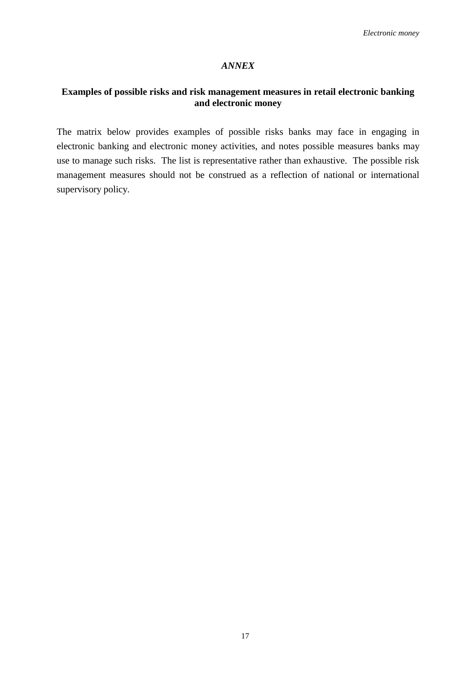## *ANNEX*

## **Examples of possible risks and risk management measures in retail electronic banking and electronic money**

The matrix below provides examples of possible risks banks may face in engaging in electronic banking and electronic money activities, and notes possible measures banks may use to manage such risks. The list is representative rather than exhaustive. The possible risk management measures should not be construed as a reflection of national or international supervisory policy.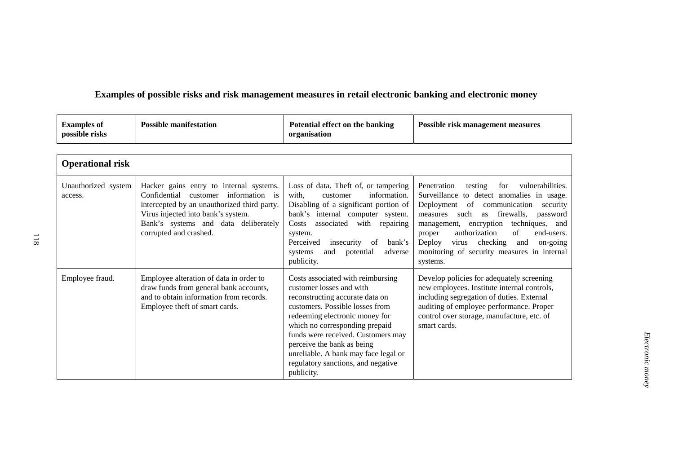# **Examples of possible risks and risk management measures in retail electronic banking and electronic money**

| <b>Examples of</b><br>possible risks | <b>Possible manifestation</b> | Potential effect on the banking<br>organisation | <b>Possible risk management measures</b> |
|--------------------------------------|-------------------------------|-------------------------------------------------|------------------------------------------|
|--------------------------------------|-------------------------------|-------------------------------------------------|------------------------------------------|

| <b>Operational risk</b>        |                                                                                                                                                                                                                                              |                                                                                                                                                                                                                                                                                                                                                                         |                                                                                                                                                                                                                                                                                                                                                                                                                     |  |
|--------------------------------|----------------------------------------------------------------------------------------------------------------------------------------------------------------------------------------------------------------------------------------------|-------------------------------------------------------------------------------------------------------------------------------------------------------------------------------------------------------------------------------------------------------------------------------------------------------------------------------------------------------------------------|---------------------------------------------------------------------------------------------------------------------------------------------------------------------------------------------------------------------------------------------------------------------------------------------------------------------------------------------------------------------------------------------------------------------|--|
| Unauthorized system<br>access. | Hacker gains entry to internal systems.<br>Confidential<br>information is<br>customer<br>intercepted by an unauthorized third party.<br>Virus injected into bank's system.<br>Bank's systems and data deliberately<br>corrupted and crashed. | Loss of data. Theft of, or tampering<br>with,<br>information.<br>customer<br>Disabling of a significant portion of<br>bank's internal computer system.<br>with<br>associated<br>repairing<br>Costs<br>system.<br>Perceived<br>insecurity<br>of<br>bank's<br>and<br>potential<br>adverse<br>systems<br>publicity.                                                        | Penetration<br>vulnerabilities.<br>testing<br>for<br>Surveillance to detect anomalies in usage.<br>Deployment<br>of<br>communication<br>security<br>firewalls,<br>measures<br>such<br>password<br>as<br>techniques,<br>encryption<br>and<br>management,<br>authorization<br>of<br>end-users.<br>proper<br>checking<br>Deploy<br>on-going<br>virus<br>and<br>monitoring of security measures in internal<br>systems. |  |
| Employee fraud.                | Employee alteration of data in order to<br>draw funds from general bank accounts,<br>and to obtain information from records.<br>Employee theft of smart cards.                                                                               | Costs associated with reimbursing<br>customer losses and with<br>reconstructing accurate data on<br>customers. Possible losses from<br>redeeming electronic money for<br>which no corresponding prepaid<br>funds were received. Customers may<br>perceive the bank as being<br>unreliable. A bank may face legal or<br>regulatory sanctions, and negative<br>publicity. | Develop policies for adequately screening<br>new employees. Institute internal controls,<br>including segregation of duties. External<br>auditing of employee performance. Proper<br>control over storage, manufacture, etc. of<br>smart cards.                                                                                                                                                                     |  |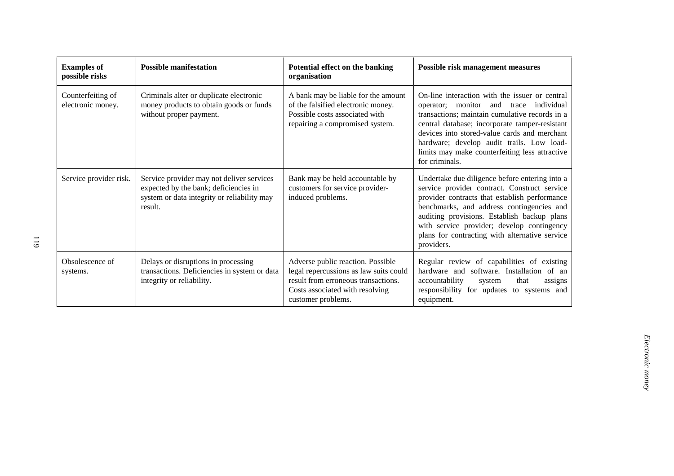| <b>Examples of</b><br>possible risks   | <b>Possible manifestation</b>                                                                                                                | Potential effect on the banking<br>organisation                                                                                                                             | <b>Possible risk management measures</b>                                                                                                                                                                                                                                                                                                                         |
|----------------------------------------|----------------------------------------------------------------------------------------------------------------------------------------------|-----------------------------------------------------------------------------------------------------------------------------------------------------------------------------|------------------------------------------------------------------------------------------------------------------------------------------------------------------------------------------------------------------------------------------------------------------------------------------------------------------------------------------------------------------|
| Counterfeiting of<br>electronic money. | Criminals alter or duplicate electronic<br>money products to obtain goods or funds<br>without proper payment.                                | A bank may be liable for the amount<br>of the falsified electronic money.<br>Possible costs associated with<br>repairing a compromised system.                              | On-line interaction with the issuer or central<br>operator; monitor and trace<br>individual<br>transactions; maintain cumulative records in a<br>central database; incorporate tamper-resistant<br>devices into stored-value cards and merchant<br>hardware; develop audit trails. Low load-<br>limits may make counterfeiting less attractive<br>for criminals. |
| Service provider risk.                 | Service provider may not deliver services<br>expected by the bank; deficiencies in<br>system or data integrity or reliability may<br>result. | Bank may be held accountable by<br>customers for service provider-<br>induced problems.                                                                                     | Undertake due diligence before entering into a<br>service provider contract. Construct service<br>provider contracts that establish performance<br>benchmarks, and address contingencies and<br>auditing provisions. Establish backup plans<br>with service provider; develop contingency<br>plans for contracting with alternative service<br>providers.        |
| Obsolescence of<br>systems.            | Delays or disruptions in processing<br>transactions. Deficiencies in system or data<br>integrity or reliability.                             | Adverse public reaction. Possible<br>legal repercussions as law suits could<br>result from erroneous transactions.<br>Costs associated with resolving<br>customer problems. | Regular review of capabilities of existing<br>hardware and software. Installation of an<br>accountability<br>that<br>system<br>assigns<br>responsibility for updates to systems and<br>equipment.                                                                                                                                                                |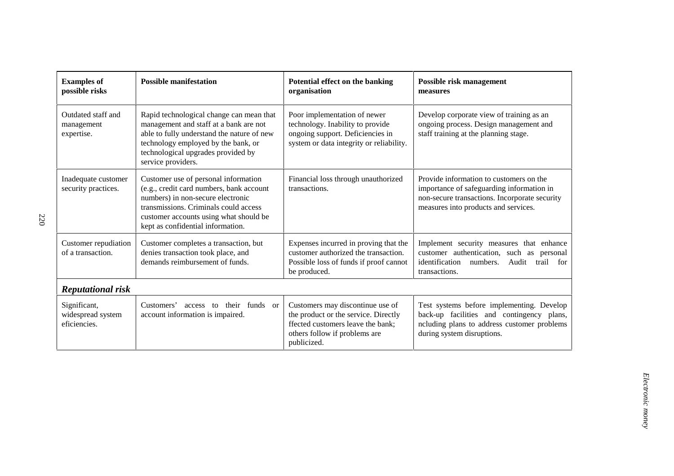| <b>Examples of</b><br>possible risks              | <b>Possible manifestation</b>                                                                                                                                                                                                                 | Potential effect on the banking<br>organisation                                                                                                               | Possible risk management<br>measures                                                                                                                                          |
|---------------------------------------------------|-----------------------------------------------------------------------------------------------------------------------------------------------------------------------------------------------------------------------------------------------|---------------------------------------------------------------------------------------------------------------------------------------------------------------|-------------------------------------------------------------------------------------------------------------------------------------------------------------------------------|
| Outdated staff and<br>management<br>expertise.    | Rapid technological change can mean that<br>management and staff at a bank are not<br>able to fully understand the nature of new<br>technology employed by the bank, or<br>technological upgrades provided by<br>service providers.           | Poor implementation of newer<br>technology. Inability to provide<br>ongoing support. Deficiencies in<br>system or data integrity or reliability.              | Develop corporate view of training as an<br>ongoing process. Design management and<br>staff training at the planning stage.                                                   |
| Inadequate customer<br>security practices.        | Customer use of personal information<br>(e.g., credit card numbers, bank account<br>numbers) in non-secure electronic<br>transmissions. Criminals could access<br>customer accounts using what should be<br>kept as confidential information. | Financial loss through unauthorized<br>transactions.                                                                                                          | Provide information to customers on the<br>importance of safeguarding information in<br>non-secure transactions. Incorporate security<br>measures into products and services. |
| Customer repudiation<br>of a transaction.         | Customer completes a transaction, but<br>denies transaction took place, and<br>demands reimbursement of funds.                                                                                                                                | Expenses incurred in proving that the<br>customer authorized the transaction.<br>Possible loss of funds if proof cannot<br>be produced.                       | Implement security measures that enhance<br>customer authentication, such as personal<br>identification<br>numbers.<br>Audit<br>trail for<br>transactions.                    |
| <b>Reputational risk</b>                          |                                                                                                                                                                                                                                               |                                                                                                                                                               |                                                                                                                                                                               |
| Significant,<br>widespread system<br>eficiencies. | their funds or<br>Customers'<br>access to<br>account information is impaired.                                                                                                                                                                 | Customers may discontinue use of<br>the product or the service. Directly<br>ffected customers leave the bank;<br>others follow if problems are<br>publicized. | Test systems before implementing. Develop<br>back-up facilities and contingency plans,<br>ncluding plans to address customer problems<br>during system disruptions.           |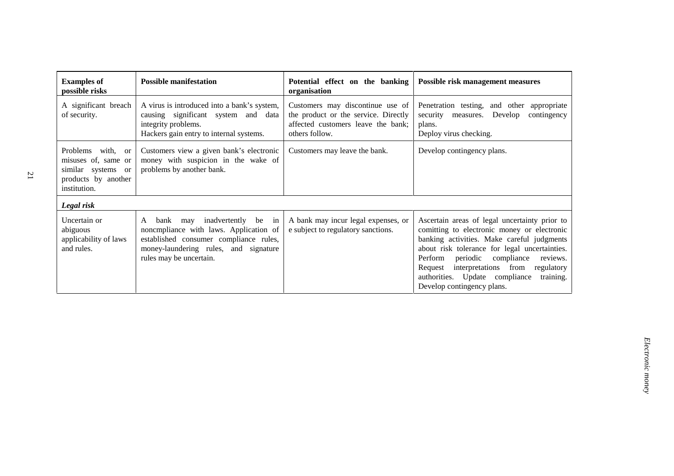| <b>Examples of</b><br>possible risks                                                                  | <b>Possible manifestation</b>                                                                                                                                                                | Potential effect on the banking<br>organisation                                                                                  | Possible risk management measures                                                                                                                                                                                                                                                                                                                                          |
|-------------------------------------------------------------------------------------------------------|----------------------------------------------------------------------------------------------------------------------------------------------------------------------------------------------|----------------------------------------------------------------------------------------------------------------------------------|----------------------------------------------------------------------------------------------------------------------------------------------------------------------------------------------------------------------------------------------------------------------------------------------------------------------------------------------------------------------------|
| A significant breach<br>of security.                                                                  | A virus is introduced into a bank's system,<br>causing significant system and data<br>integrity problems.<br>Hackers gain entry to internal systems.                                         | Customers may discontinue use of<br>the product or the service. Directly<br>affected customers leave the bank:<br>others follow. | Penetration testing, and other<br>appropriate<br>Develop<br>security<br>contingency<br>measures.<br>plans.<br>Deploy virus checking.                                                                                                                                                                                                                                       |
| Problems with, or<br>misuses of, same or<br>similar systems or<br>products by another<br>institution. | Customers view a given bank's electronic<br>money with suspicion in the wake of<br>problems by another bank.                                                                                 | Customers may leave the bank.                                                                                                    | Develop contingency plans.                                                                                                                                                                                                                                                                                                                                                 |
| Legal risk                                                                                            |                                                                                                                                                                                              |                                                                                                                                  |                                                                                                                                                                                                                                                                                                                                                                            |
| Uncertain or<br>abiguous<br>applicability of laws<br>and rules.                                       | inadvertently be in<br>bank may<br>A<br>noncmpliance with laws. Application of<br>established consumer compliance rules,<br>money-laundering rules, and signature<br>rules may be uncertain. | A bank may incur legal expenses, or<br>e subject to regulatory sanctions.                                                        | Ascertain areas of legal uncertainty prior to<br>comitting to electronic money or electronic<br>banking activities. Make careful judgments<br>about risk tolerance for legal uncertainties.<br>Perform<br>periodic<br>reviews.<br>compliance<br>interpretations from<br>regulatory<br>Request<br>authorities. Update compliance<br>training.<br>Develop contingency plans. |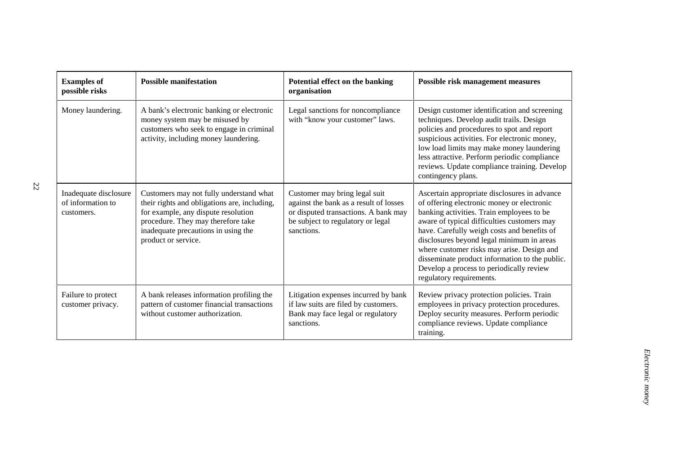| <b>Examples of</b><br>possible risks                     | <b>Possible manifestation</b>                                                                                                                                                                                                      | Potential effect on the banking<br>organisation                                                                                                                    | <b>Possible risk management measures</b>                                                                                                                                                                                                                                                                                                                                                                                                                   |
|----------------------------------------------------------|------------------------------------------------------------------------------------------------------------------------------------------------------------------------------------------------------------------------------------|--------------------------------------------------------------------------------------------------------------------------------------------------------------------|------------------------------------------------------------------------------------------------------------------------------------------------------------------------------------------------------------------------------------------------------------------------------------------------------------------------------------------------------------------------------------------------------------------------------------------------------------|
| Money laundering.                                        | A bank's electronic banking or electronic<br>money system may be misused by<br>customers who seek to engage in criminal<br>activity, including money laundering.                                                                   | Legal sanctions for noncompliance<br>with "know your customer" laws.                                                                                               | Design customer identification and screening<br>techniques. Develop audit trails. Design<br>policies and procedures to spot and report<br>suspicious activities. For electronic money,<br>low load limits may make money laundering<br>less attractive. Perform periodic compliance<br>reviews. Update compliance training. Develop<br>contingency plans.                                                                                                  |
| Inadequate disclosure<br>of information to<br>customers. | Customers may not fully understand what<br>their rights and obligations are, including,<br>for example, any dispute resolution<br>procedure. They may therefore take<br>inadequate precautions in using the<br>product or service. | Customer may bring legal suit<br>against the bank as a result of losses<br>or disputed transactions. A bank may<br>be subject to regulatory or legal<br>sanctions. | Ascertain appropriate disclosures in advance<br>of offering electronic money or electronic<br>banking activities. Train employees to be<br>aware of typical difficulties customers may<br>have. Carefully weigh costs and benefits of<br>disclosures beyond legal minimum in areas<br>where customer risks may arise. Design and<br>disseminate product information to the public.<br>Develop a process to periodically review<br>regulatory requirements. |
| Failure to protect<br>customer privacy.                  | A bank releases information profiling the<br>pattern of customer financial transactions<br>without customer authorization.                                                                                                         | Litigation expenses incurred by bank<br>if law suits are filed by customers.<br>Bank may face legal or regulatory<br>sanctions.                                    | Review privacy protection policies. Train<br>employees in privacy protection procedures.<br>Deploy security measures. Perform periodic<br>compliance reviews. Update compliance<br>training.                                                                                                                                                                                                                                                               |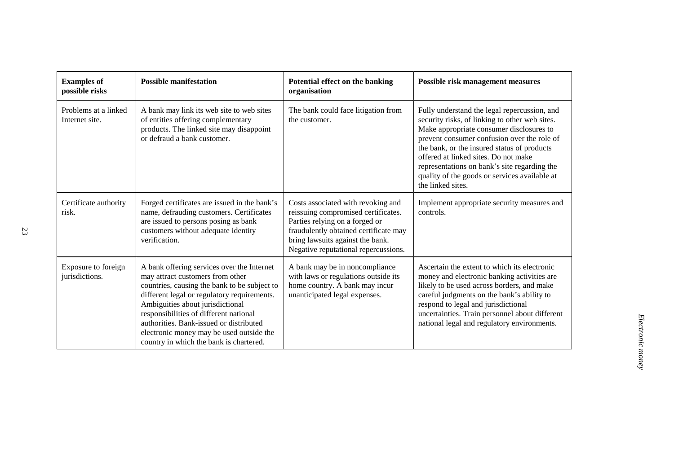| <b>Examples of</b><br>possible risks   | <b>Possible manifestation</b>                                                                                                                                                                                                                                                                                                                                                                 | Potential effect on the banking<br>organisation                                                                                                                                                                                  | Possible risk management measures                                                                                                                                                                                                                                                                                                                                                                      |
|----------------------------------------|-----------------------------------------------------------------------------------------------------------------------------------------------------------------------------------------------------------------------------------------------------------------------------------------------------------------------------------------------------------------------------------------------|----------------------------------------------------------------------------------------------------------------------------------------------------------------------------------------------------------------------------------|--------------------------------------------------------------------------------------------------------------------------------------------------------------------------------------------------------------------------------------------------------------------------------------------------------------------------------------------------------------------------------------------------------|
| Problems at a linked<br>Internet site. | A bank may link its web site to web sites<br>of entities offering complementary<br>products. The linked site may disappoint<br>or defraud a bank customer.                                                                                                                                                                                                                                    | The bank could face litigation from<br>the customer.                                                                                                                                                                             | Fully understand the legal repercussion, and<br>security risks, of linking to other web sites.<br>Make appropriate consumer disclosures to<br>prevent consumer confusion over the role of<br>the bank, or the insured status of products<br>offered at linked sites. Do not make<br>representations on bank's site regarding the<br>quality of the goods or services available at<br>the linked sites. |
| Certificate authority<br>risk.         | Forged certificates are issued in the bank's<br>name, defrauding customers. Certificates<br>are issued to persons posing as bank<br>customers without adequate identity<br>verification.                                                                                                                                                                                                      | Costs associated with revoking and<br>reissuing compromised certificates.<br>Parties relying on a forged or<br>fraudulently obtained certificate may<br>bring lawsuits against the bank.<br>Negative reputational repercussions. | Implement appropriate security measures and<br>controls.                                                                                                                                                                                                                                                                                                                                               |
| Exposure to foreign<br>jurisdictions.  | A bank offering services over the Internet<br>may attract customers from other<br>countries, causing the bank to be subject to<br>different legal or regulatory requirements.<br>Ambiguities about jurisdictional<br>responsibilities of different national<br>authorities. Bank-issued or distributed<br>electronic money may be used outside the<br>country in which the bank is chartered. | A bank may be in noncompliance<br>with laws or regulations outside its<br>home country. A bank may incur<br>unanticipated legal expenses.                                                                                        | Ascertain the extent to which its electronic<br>money and electronic banking activities are<br>likely to be used across borders, and make<br>careful judgments on the bank's ability to<br>respond to legal and jurisdictional<br>uncertainties. Train personnel about different<br>national legal and regulatory environments.                                                                        |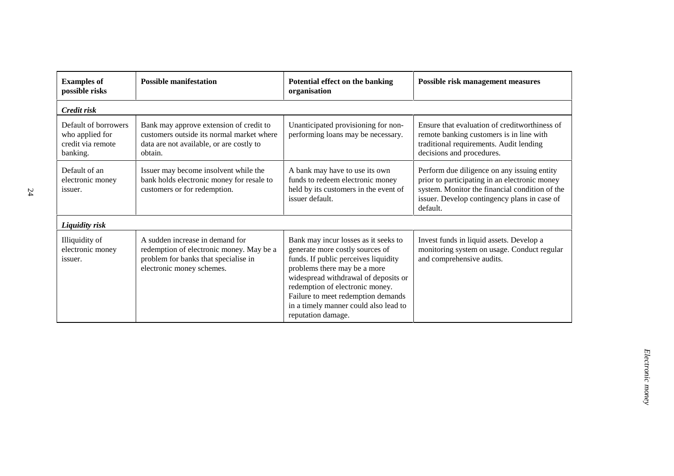| <b>Examples of</b>                                                       | <b>Possible manifestation</b>                                                                                                                    | Potential effect on the banking                                                                                                                                                                                                                                                                                                 | Possible risk management measures                                                                                                                                                                          |
|--------------------------------------------------------------------------|--------------------------------------------------------------------------------------------------------------------------------------------------|---------------------------------------------------------------------------------------------------------------------------------------------------------------------------------------------------------------------------------------------------------------------------------------------------------------------------------|------------------------------------------------------------------------------------------------------------------------------------------------------------------------------------------------------------|
| possible risks                                                           |                                                                                                                                                  | organisation                                                                                                                                                                                                                                                                                                                    |                                                                                                                                                                                                            |
| Credit risk                                                              |                                                                                                                                                  |                                                                                                                                                                                                                                                                                                                                 |                                                                                                                                                                                                            |
| Default of borrowers<br>who applied for<br>credit via remote<br>banking. | Bank may approve extension of credit to<br>customers outside its normal market where<br>data are not available, or are costly to<br>obtain.      | Unanticipated provisioning for non-<br>performing loans may be necessary.                                                                                                                                                                                                                                                       | Ensure that evaluation of creditworthiness of<br>remote banking customers is in line with<br>traditional requirements. Audit lending<br>decisions and procedures.                                          |
| Default of an<br>electronic money<br>issuer.                             | Issuer may become insolvent while the<br>bank holds electronic money for resale to<br>customers or for redemption.                               | A bank may have to use its own<br>funds to redeem electronic money<br>held by its customers in the event of<br>issuer default.                                                                                                                                                                                                  | Perform due diligence on any issuing entity<br>prior to participating in an electronic money<br>system. Monitor the financial condition of the<br>issuer. Develop contingency plans in case of<br>default. |
| <b>Liquidity risk</b>                                                    |                                                                                                                                                  |                                                                                                                                                                                                                                                                                                                                 |                                                                                                                                                                                                            |
| Illiquidity of<br>electronic money<br><i>issuer.</i>                     | A sudden increase in demand for<br>redemption of electronic money. May be a<br>problem for banks that specialise in<br>electronic money schemes. | Bank may incur losses as it seeks to<br>generate more costly sources of<br>funds. If public perceives liquidity<br>problems there may be a more<br>widespread withdrawal of deposits or<br>redemption of electronic money.<br>Failure to meet redemption demands<br>in a timely manner could also lead to<br>reputation damage. | Invest funds in liquid assets. Develop a<br>monitoring system on usage. Conduct regular<br>and comprehensive audits.                                                                                       |